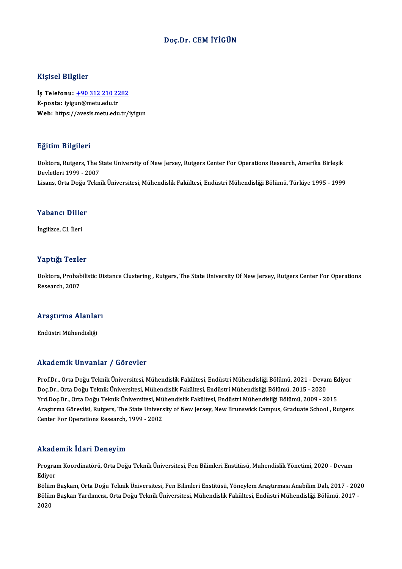#### Doç.Dr. CEMİYİGÜN

#### Kişisel Bilgiler

Kişisel Bilgiler<br>İş Telefonu: <u>+90 312 210 2282</u><br>E nosta: ivisur@metu.edu.tr 11131001<br>İş Telefonu: <u>+90 312 210 22</u><br>E-posta: iyig[un@metu.edu.tr](tel:+90 312 210 2282)<br>Web: bttrs://syssis.metu.edu.tr E-posta: iyigun@metu.edu.tr<br>Web: https://avesis.metu.edu.tr/iyigun

#### Eğitim Bilgileri

**Eğitim Bilgileri**<br>Doktora, Rutgers, The State University of New Jersey, Rutgers Center For Operations Research, Amerika Birleşik<br>Revlatleri 1999 - 2007 Devletlerings of the Solar<br>Doktora, Rutgers, The S<br>Devletleri 1999 - 2007<br>Lisans, Orta Doğu Telmi Devletleri 1999 - 2007<br>Lisans, Orta Doğu Teknik Üniversitesi, Mühendislik Fakültesi, Endüstri Mühendisliği Bölümü, Türkiye 1995 - 1999

#### Yabancı Diller

İngilizce,C1 İleri

#### Yaptığı Tezler

Yaptığı Tezler<br>Doktora, Probabilistic Distance Clustering , Rutgers, The State University Of New Jersey, Rutgers Center For Operations<br>Researsh 2007 Pergr Post<br>Doktora, Probab<br>Research, 2007

## <sub>Kesearch, 2007</sub><br>Araştırma Alanları <mark>Araştırma Alanla</mark>ı<br>Endüstri Mühendisliği

# Akademik Unvanlar / Görevler

Akademik Unvanlar / Görevler<br>Prof.Dr., Orta Doğu Teknik Üniversitesi, Mühendislik Fakültesi, Endüstri Mühendisliği Bölümü, 2021 - Devam Ediyor<br>Des Dr., Orta Doğu Teknik Üniversitesi, Mühendislik Fakültesi, Endüstri Mühendi rrkaatenrik Sirvaniar 7 dörevler<br>Prof.Dr., Orta Doğu Teknik Üniversitesi, Mühendislik Fakültesi, Endüstri Mühendisliği Bölümü, 2021 - Devai<br>Vrd Doo Dr., Orta Doğu Teknik Üniversitesi, Mühendislik Fakültesi, Endüstri Mühend Prof.Dr., Orta Doğu Teknik Üniversitesi, Mühendislik Fakültesi, Endüstri Mühendisliği Bölümü, 2021 - Devam Ec<br>Doç.Dr., Orta Doğu Teknik Üniversitesi, Mühendislik Fakültesi, Endüstri Mühendisliği Bölümü, 2015 - 2020<br>Yrd.Doç Doç.Dr., Orta Doğu Teknik Üniversitesi, Mühendislik Fakültesi, Endüstri Mühendisliği Bölümü, 2015 - 2020<br>Yrd.Doç.Dr., Orta Doğu Teknik Üniversitesi, Mühendislik Fakültesi, Endüstri Mühendisliği Bölümü, 2009 - 2015<br>Araştırm Yrd.Doç.Dr., Orta Doğu Teknik Üniversitesi, Mü<br>Araştırma Görevlisi, Rutgers, The State Univers<br>Center For Operations Research, 1999 - 2002 Center For Operations Research, 1999 - 2002<br>Akademik İdari Deneyim

**Akademik İdari Deneyim**<br>Program Koordinatörü, Orta Doğu Teknik Üniversitesi, Fen Bilimleri Enstitüsü, Muhendislik Yönetimi, 2020 - Devam<br>Ediver Progra:<br>Progra:<br>Ediyor Program Koordinatörü, Orta Doğu Teknik Üniversitesi, Fen Bilimleri Enstitüsü, Muhendislik Yönetimi, 2020 - Devam<br>Ediyor<br>Bölüm Başkanı, Orta Doğu Teknik Üniversitesi, Fen Bilimleri Enstitüsü, Yöneylem Araştırması Anabilim D

Ediyor<br>Bölüm Başkanı, Orta Doğu Teknik Üniversitesi, Fen Bilimleri Enstitüsü, Yöneylem Araştırması Anabilim Dalı, 2017 - 202<br>Bölüm Başkan Yardımcısı, Orta Doğu Teknik Üniversitesi, Mühendislik Fakültesi, Endüstri Mühendisl Bölüm<br>Bölüm<br>2020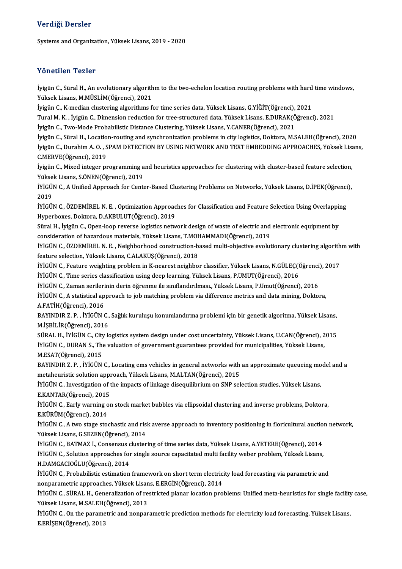#### Verdiği Dersler

Systems and Organization, Yüksek Lisans, 2019 - 2020

#### Yönetilen Tezler

Yönetilen Tezler<br>İyigün C., Süral H., An evolutionary algorithm to the two-echelon location routing problems with hard time windows,<br>Yüksek Lisans, M.MİSLİM(Öğrensi), 2021 Yüksek<br>İyigün C., Süral H., An evolutionary algorith<br>Yüksek Lisans, M.MÜSLİM(Öğrenci), 2021<br>İyigün C. K median elustering algorithme f İyigün C., Süral H., An evolutionary algorithm to the two-echelon location routing problems with hard<br>Yüksek Lisans, M.MÜSLİM(Öğrenci), 2021<br>İyigün C., K-median clustering algorithms for time series data, Yüksek Lisans, G.

İyigün C., K-median clustering algorithms for time series data, Yüksek Lisans, G.YİĞİT(Öğrenci), 2021

Yüksek Lisans, M.MÜSLİM(Öğrenci), 2021<br>İyigün C., K-median clustering algorithms for time series data, Yüksek Lisans, G.YİĞİT(Öğrenci), 2021<br>Tural M. K. , İyigün C., Dimension reduction for tree-structured data, Yüksek Lis

İyigünC.,SüralH.,Location-routing and synchronizationproblems incity logistics,Doktora,M.SALEH(Öğrenci),2020 İyigün C., Two-Mode Probabilistic Distance Clustering, Yüksek Lisans, Y.CANER(Öğrenci), 2021<br>İyigün C., Süral H., Location-routing and synchronization problems in city logistics, Doktora, M.SALEH(Öğrenci), 2020<br>İyigün C., İyigün C., Süral H., Locatio<br>İyigün C., Durahim A. O. , S<br>C.MERVE(Öğrenci), 2019<br>İyigün C. Miyad integen pı İyigün C., Durahim A. O. , SPAM DETECTION BY USING NETWORK AND TEXT EMBEDDING APPROACHES, Yüksek Lisa<br>C.MERVE(Öğrenci), 2019<br>İyigün C., Mixed integer programming and heuristics approaches for clustering with cluster-based

C.MERVE(Öğrenci), 2019<br>İyigün C., Mixed integer programming a<br>Yüksek Lisans, S.ÖNEN(Öğrenci), 2019<br>İVİÇÜN C. A Unified Annreach for Cent İyigün C., Mixed integer programming and heuristics approaches for clustering with cluster-based feature selection,<br>Yüksek Lisans, S.ÖNEN(Öğrenci), 2019<br>İYİGÜN C., A Unified Approach for Center-Based Clustering Problems on

Yükse<br>İYİGÜ<br>2019<br>ivicü İYİGÜN C., A Unified Approach for Center-Based Clustering Problems on Networks, Yüksek Lisans, D.İPEK(Öğrenci<br>2019<br>İYİGÜN C., ÖZDEMİREL N. E. , Optimization Approaches for Classification and Feature Selection Using Overlap

2019<br>İYİGÜN C., ÖZDEMİREL N. E. , Optimization Approac<br>Hyperboxes, Doktora, D.AKBULUT(Öğrenci), 2019<br>Süral H. İvigün C. Open leen reverse legistiss netv IYIGÜN C., ÖZDEMİREL N. E. , Optimization Approaches for Classification and Feature Selection Using Overlappii<br>Hyperboxes, Doktora, D.AKBULUT(Öğrenci), 2019<br>Süral H., İyigün C., Open-loop reverse logistics network design o

Hyperboxes, Doktora, D.AKBULUT(Öğrenci), 2019<br>Süral H., İyigün C., Open-loop reverse logistics network design of waste of electric and electronic equipment by Süral H., İyigün C., Open-loop reverse logistics network design of waste of electric and electronic equipment by<br>consideration of hazardous materials, Yüksek Lisans, T.MOHAMMADI(Öğrenci), 2019<br>İYİGÜN C., ÖZDEMİREL N. E. ,

consideration of hazardous materials, Yüksek Lisans, T.MOHAMMADI(Öğrenci), 2019<br>İYİGÜN C., ÖZDEMİREL N. E. , Neighborhood construction-based multi-objective evolu<br>feature selection, Yüksek Lisans, C.ALAKUŞ(Öğrenci), 2018 İYİGÜN C., ÖZDEMİREL N. E. , Neighborhood construction-based multi-objective evolutionary clustering algorith<br>feature selection, Yüksek Lisans, C.ALAKUŞ(Öğrenci), 2018<br>İYİGÜN C., Feature weighting problem in K-nearest neig

feature selection, Yüksek Lisans, C.ALAKUŞ(Öğrenci), 2018<br>İYİGÜN C., Feature weighting problem in K-nearest neighbor classifier, Yüksek Lisans, N.GÜLEÇ(Ö<br>İYİGÜN C., Time series classification using deep learning, Yüksek Li İYİGÜN C., Feature weighting problem in K-nearest neighbor classifier, Yüksek Lisans, N.GÜLEÇ(Öğrenci)<br>İYİGÜN C., Time series classification using deep learning, Yüksek Lisans, P.UMUT(Öğrenci), 2016<br>İYİGÜN C., Zaman serile

İYİGÜN C., Zaman serilerinin derin öğrenme ile sınıflandırılması., Yüksek Lisans, P.Umut(Öğrenci), 2016

İYİGÜN C., Time series classification using deep learning, Yüksek Lisans, P.UMUT(Öğrenci), 2016<br>İYİGÜN C., Zaman serilerinin derin öğrenme ile sınıflandırılması., Yüksek Lisans, P.Umut(Öğrenci), 2016<br>İYİGÜN C., A statistic İYİGÜN C., A statistical approach to job matching problem via difference metrics and data mining, Doktora,<br>A.FATİH(Öğrenci), 2016<br>BAYINDIR Z. P. , İYİGÜN C., Sağlık kuruluşu konumlandırma problemi için bir genetik algoritm

A.FATİH(Öğrenci), 2016<br>BAYINDIR Z. P. , İYİGÜN C.,<br>M.İŞBİLİR(Öğrenci), 2016<br>SÜRAL H. İVİÇÜN Ç. GİTLE BAYINDIR Z. P. , İYİGÜN C., Sağlık kuruluşu konumlandırma problemi için bir genetik algoritma, Yüksek Lisans,<br>M.İŞBİLİR(Öğrenci), 2016<br>SÜRAL H., İYİGÜN C., City logistics system design under cost uncertainty, Yüksek Lisans

M.İŞBİLİR(Öğrenci), 2016<br>SÜRAL H., İYİGÜN C., City logistics system design under cost uncertainty, Yüksek Lisans, U.CAN(Öğrenci), 2<br>İYİGÜN C., DURAN S., The valuation of government guarantees provided for municipalities, Y SÜRAL H., İYİGÜN C., City<br>İYİGÜN C., DURAN S., Tho<br>M.ESAT(Öğrenci), 2015<br>PAYINDIP 7- P., İYİCÜN IYIGÜN C., DURAN S., The valuation of government guarantees provided for municipalities, Yüksek Lisans,<br>M.ESAT(Öğrenci), 2015<br>BAYINDIR Z. P. , İYİGÜN C., Locating ems vehicles in general networks with an approximate queuei

M.ESAT(Öğrenci), 2015<br>BAYINDIR Z. P. , İYİGÜN C., Locating ems vehicles in general networks with<br>metaheuristic solution approach, Yüksek Lisans, M.ALTAN(Öğrenci), 2015<br>İVİÇÜN C. Investigation of the impagts of linkage dise BAYINDIR Z. P. , İYİGÜN C., Locating ems vehicles in general networks with an approximate queueing mo<br>metaheuristic solution approach, Yüksek Lisans, M.ALTAN(Öğrenci), 2015<br>İYİGÜN C., Investigation of the impacts of linkag

metaheuristic solution approach, Yüksek Lisans, M.ALTAN(Öğrenci), 2015<br>İYİGÜN C., Investigation of the impacts of linkage disequilibrium on SNP selection studies, Yüksek Lisans,<br>E.KANTAR(Öğrenci), 2015 İYİGÜN C., Investigation of the impacts of linkage disequilibrium on SNP selection studies, Yüksek Lisans,<br>E.KANTAR(Öğrenci), 2015<br>İYİGÜN C., Early warning on stock market bubbles via ellipsoidal clustering and inverse pro

E.KANTAR(Öğrenci), 2015<br>İYİGÜN C., Early warning c<br>E.KÜRÜM(Öğrenci), 2014<br>İVİCÜN C. A tup stage ste İYİGÜN C., Early warning on stock market bubbles via ellipsoidal clustering and inverse problems, Doktora,<br>E.KÜRÜM(Öğrenci), 2014<br>İYİGÜN C., A two stage stochastic and risk averse approach to inventory positioning in flori

E.KÜRÜM(Öğrenci), 2014<br>İYİGÜN C., A two stage stochastic and ris<br>Yüksek Lisans, G.SEZEN(Öğrenci), 2014<br>İVİCÜN C. BATMAZ İ. Consonaye slustar İYİGÜN C., A two stage stochastic and risk averse approach to inventory positioning in floricultural auctio<br>Yüksek Lisans, G.SEZEN(Öğrenci), 2014<br>İYİGÜN C., BATMAZ İ., Consensus clustering of time series data, Yüksek Lisan

Yüksek Lisans, G.SEZEN(Öğrenci), 2014<br>İYİGÜN C., BATMAZ İ., Consensus clustering of time series data, Yüksek Lisans, A.YETERE(Öğrenci), 2014<br>İYİGÜN C., Solution approaches for single source capacitated multi facility weber İYİGÜN C., BATMAZ İ., Consensus c<br>İYİGÜN C., Solution approaches fol<br>H.DAMGACIOĞLU(Öğrenci), 2014<br>İVİCÜN C. Prebabilistis estimation İYİGÜN C., Solution approaches for single source capacitated multi facility weber problem, Yüksek Lisans,<br>H.DAMGACIOĞLU(Öğrenci), 2014<br>İYİGÜN C., Probabilistic estimation framework on short term electricity load forecastin

H.DAMGACIOĞLU(Öğrenci), 2014<br>İYİGÜN C., Probabilistic estimation framework on short term electric<br>nonparametric approaches, Yüksek Lisans, E.ERGİN(Öğrenci), 2014<br>İVİÇÜN C. SÜRAL H. Conoraliration of restristed planar lesst nonparametric approaches, Yüksek Lisans, E.ERGİN(Öğrenci), 2014

İYİGÜN C., SÜRAL H., Generalization of restricted planar location problems: Unified meta-heuristics for single facility case,<br>Yüksek Lisans, M.SALEH(Öğrenci), 2013 İYİGÜN C., SÜRAL H., Generalization of restricted planar location problems: Unified meta-heuristics for single facility<br>Yüksek Lisans, M.SALEH(Öğrenci), 2013<br>İYİGÜN C., On the parametric and nonparametric prediction method

Yüksek Lisans, M.SALEH(<br>İYİGÜN C., On the parame<br>E.ERİŞEN(Öğrenci), 2013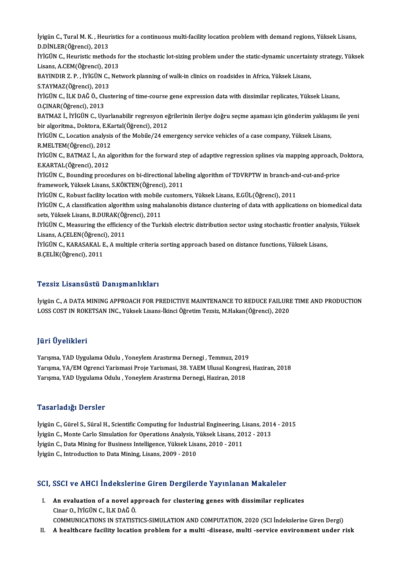İyigün C., Tural M. K. , Heuristics for a continuous multi-facility location problem with demand regions, Yüksek Lisans,<br>D.D.N.LER(Öğrensi), 2012 İyigün C., Tural M. K. , Heur<br>D.DİNLER(Öğrenci), 2013<br>İVİCİN C. Heuristis methe İyigün C., Tural M. K. , Heuristics for a continuous multi-facility location problem with demand regions, Yüksek Lisans,<br>D.DİNLER(Öğrenci), 2013<br>İYİGÜN C., Heuristic methods for the stochastic lot-sizing problem under the D.DİNLER(Öğrenci), 2013<br>İYİGÜN C., Heuristic methods f<br>Lisans, A.CEM(Öğrenci), 2013<br>BAYINDIR Z. B., İVİCÜN C. Not İYİGÜN C., Heuristic methods for the stochastic lot-sizing problem under the static-dynamic uncertain<br>Lisans, A.CEM(Öğrenci), 2013<br>BAYINDIR Z. P. , İYİGÜN C., Network planning of walk-in clinics on roadsides in Africa, Yük Lisans, A.CEM(Öğrenci), 2013<br>BAYINDIR Z. P. , İYİGÜN C., Network planning of walk-in clinics on roadsides in Africa, Yüksek Lisans,<br>S.TAYMAZ(Öğrenci), 2013 BAYINDIR Z. P. , İYİGÜN C., Network planning of walk-in clinics on roadsides in Africa, Yüksek Lisans,<br>S.TAYMAZ(Öğrenci), 2013<br>İYİGÜN C., İLK DAĞ Ö., Clustering of time-course gene expression data with dissimilar replicate S.TAYMAZ(Öğrenci), 201<br>İYİGÜN C., İLK DAĞ Ö., Clu<br>O.ÇINAR(Öğrenci), 2013<br>BATMAZ İ. İVİCÜN G. Hv İYİGÜN C., İLK DAĞ Ö., Clustering of time-course gene expression data with dissimilar replicates, Yüksek Lisans,<br>O.ÇINAR(Öğrenci), 2013<br>BATMAZ İ., İYİGÜN C., Uyarlanabilir regresyon eğrilerinin ileriye doğru seçme aşaması O.ÇINAR(Öğrenci), 2013<br>BATMAZ İ., İYİGÜN C., Uyarlanabilir regresyon eğ<br>bir algoritma., Doktora, E.Kartal(Öğrenci), 2012<br>İVİÇÜN C. Logation analysis of the Mebile (24 en BATMAZ İ., İYİGÜN C., Uyarlanabilir regresyon eğrilerinin ileriye doğru seçme aşaması için gönderim yaklaşıı<br>bir algoritma., Doktora, E.Kartal(Öğrenci), 2012<br>İYİGÜN C., Location analysis of the Mobile/24 emergency service bir algoritma., Doktora, E.Kartal(Öğrenci), 2012<br>İYİGÜN C., Location analysis of the Mobile/24 emergency service vehicles of a case company, Yüksek Lisans,<br>R.MELTEM(Öğrenci), 2012 İYİGÜN C., Location analysis of the Mobile/24 emergency service vehicles of a case company, Yüksek Lisans,<br>R.MELTEM(Öğrenci), 2012<br>İYİGÜN C., BATMAZ İ., An algorithm for the forward step of adaptive regression splines via E.KARTAL(Öğrenci),2012 İYİGÜN C., BATMAZ İ., An algorithm for the forward step of adaptive regression splines via mapping approach, I<br>E.KARTAL(Öğrenci), 2012<br>İYİGÜN C., Bounding procedures on bi-directional labeling algorithm of TDVRPTW in branc E.KARTAL(Öğrenci), 2012<br>İYİGÜN C., Bounding procedures on bi-directional labe<br>framework, Yüksek Lisans, S.KÖKTEN(Öğrenci), 2011<br>İVİÇÜN C. Robust fasiliz: lasation uyth mabile gustama İYİGÜN C., Bounding procedures on bi-directional labeling algorithm of TDVRPTW in branch-an<br>framework, Yüksek Lisans, S.KÖKTEN(Öğrenci), 2011<br>İYİGÜN C., Robust facility location with mobile customers, Yüksek Lisans, E.GÜL( framework, Yüksek Lisans, S.KÖKTEN(Öğrenci), 2011<br>İYİGÜN C., Robust facility location with mobile customers, Yüksek Lisans, E.GÜL(Öğrenci), 2011<br>İYİGÜN C., A classification algorithm using mahalanobis distance clustering o iYiGÜN C., Robust facility location with mobile<br>iYiGÜN C., A classification algorithm using mak<br>sets, Yüksek Lisans, B.DURAK(Öğrenci), 2011<br>iViCÜN C. Measuring the efficiency of the Turl İYİGÜN C., A classification algorithm using mahalanobis distance clustering of data with applications on biomedical data<br>sets, Yüksek Lisans, B.DURAK(Öğrenci), 2011<br>İYİGÜN C., Measuring the efficiency of the Turkish electr sets, Yüksek Lisans, B.DURAK(Öğ<br>İYİGÜN C., Measuring the efficien<br>Lisans, A.ÇELEN(Öğrenci), 2011<br>İVİCÜN C. KARASAKALE A. mult İYİGÜN C., Measuring the efficiency of the Turkish electric distribution sector using stochastic frontier analy<br>Lisans, A.ÇELEN(Öğrenci), 2011<br>İYİGÜN C., KARASAKAL E., A multiple criteria sorting approach based on distance Lisans, A.ÇELEN(Öğrenci), 2011<br>İYİGÜN C., KARASAKAL E., A multiple criteria sorting approach based on distance functions, Yüksek Lisans,<br>B.ÇELİK(Öğrenci), 2011

#### Tezsiz Lisansüstü Danışmanlıkları

Tezsiz Lisansüstü Danışmanlıkları<br>İyigün C., A DATA MINING APPROACH FOR PREDICTIVE MAINTENANCE TO REDUCE FAILURE TIME AND PRODUCTION<br>LOSS COST IN ROKETSAN INC. Vülteek Lisans İlingi Öğretim Tezeiz, M.Heltan (Öğrengi), 2020 1 02012 ERSANDADUA D'ANIŞINANININAN'I<br>İyigün C., A DATA MINING APPROACH FOR PREDICTIVE MAINTENANCE TO REDUCE FAILURI<br>LOSS COST IN ROKETSAN INC., Yüksek Lisans-İkinci Öğretim Tezsiz, M.Hakan(Öğrenci), 2020 LOSS COST IN ROKETSAN INC., Yüksek Lisans-İkinci Öğretim Tezsiz, M.Hakan(Öğrenci), 2020<br>Jüri Üyelikleri

Jüri Üyelikleri<br>Yarışma, YAD Uygulama Odulu , Yoneylem Arastırma Dernegi , Temmuz, 2019<br>Yarısma, YA (EM Ograngi Yarismasi Prais Yarismasi, 29, YAEM Ulusal Kangrasi Yarışma, YA/EM Ogrenci Yarismasi Proje Yarismasi, 38. YAEM Ulusal Kongresi, Haziran, 2018<br>Yarışma, YAD Uygulama Odulu , Yoneylem Arastırma Dernegi, Haziran, 2018 Yarışma, YAD Uygulama Odulu , Yoneylem Arastırma Dernegi , Temmuz, 2019<br>Yarışma, YA/EM Ogrenci Yarismasi Proje Yarismasi, 38. YAEM Ulusal Kongres<br>Yarışma, YAD Uygulama Odulu , Yoneylem Arastırma Dernegi, Haziran, 2018

#### Tasarladığı Dersler

Tasarladığı Dersler<br>İyigün C., Gürel S., Süral H., Scientific Computing for Industrial Engineering, Lisans, 2014 - 2015<br>İyigün C. Manta Carla Simulatian for Operations Analysis Vülsels Lisans, 2012, 2012 1 abar raarg.<br>İyigün C., Gürel S., Süral H., Scientific Computing for Industrial Engineering, Lisans, 201<br>İyigün C., Monte Carlo Simulation for Operations Analysis, Yüksek Lisans, 2012 - 2013<br>İyigün C., Data Mining for Bus İyigün C., Gürel S., Süral H., Scientific Computing for Industrial Engineering, L<br>İyigün C., Monte Carlo Simulation for Operations Analysis, Yüksek Lisans, 20<br>İyigün C., Data Mining for Business Intelligence, Yüksek Lisans İyigün C., Monte Carlo Simulation for Operations Analysis, Yüksek Lisans, 2012 - 2013<br>İyigün C., Data Mining for Business Intelligence, Yüksek Lisans, 2010 - 2011<br>İyigün C., Introduction to Data Mining, Lisans, 2009 - 2010

# iyigun C., introduction to Data Mining, Lisans, 2009 - 2010<br>SCI, SSCI ve AHCI İndekslerine Giren Dergilerde Yayınlanan Makaleler

CI, SSCI ve AHCI İndekslerine Giren Dergilerde Yayınlanan Makaleler<br>I. An evaluation of a novel approach for clustering genes with dissimilar replicates<br>Cinar Q ivicijn C il K DAČÖ I. An evaluation of a novel approach for clustering genes with dissimilar replicates Cinar O., İYİGÜN C., İLK DAĞÖ. An evaluation of a novel approach for clustering genes with dissimilar replicates<br>Cinar O., İYİGÜN C., İLK DAĞ Ö.<br>COMMUNICATIONS IN STATISTICS-SIMULATION AND COMPUTATION, 2020 (SCI İndekslerine Giren Dergi)<br>A healtheare fe Cinar O., İYİGÜN C., İLK DAĞ Ö.<br>COMMUNICATIONS IN STATISTICS-SIMULATION AND COMPUTATION, 2020 (SCI İndekslerine Giren Dergi)<br>II. A healthcare facility location problem for a multi -disease, multi -service environment u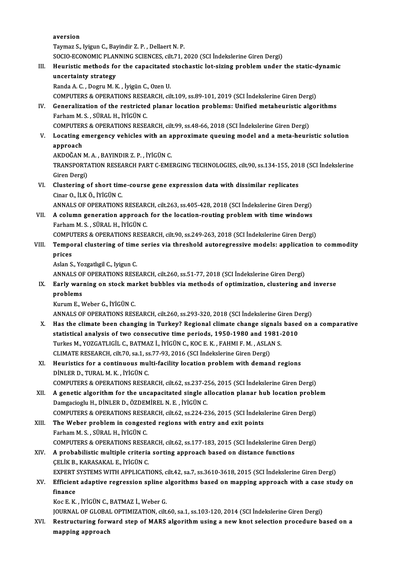aversion

Taymaz S., Iyigun C., Bayindir Z. P., Dellaert N. P.

aversion<br>Taymaz S., Iyigun C., Bayindir Z. P. , Dellaert N. P.<br>SOCIO-ECONOMIC PLANNING SCIENCES, cilt.71, 2020 (SCI İndekslerine Giren Dergi)<br>Hayristis methode far the canasitated stashestis let siring nuablem yudar

### Taymaz S., Iyigun C., Bayindir Z. P. , Dellaert N. P.<br>SOCIO-ECONOMIC PLANNING SCIENCES, cilt.71, 2020 (SCI İndekslerine Giren Dergi)<br>III. Heuristic methods for the capacitated stochastic lot-sizing problem under the static SOCIO-ECONOMIC PLAN<br>Heuristic methods fo<br>uncertainty strategy<br>Panda A.C. Dogru M.K Heuristic methods for the capacitated<br>uncertainty strategy<br>Randa A. C. , Dogru M. K. , İyigün C., Ozen U.<br>COMPUTERS & ORERATIONS RESEARCH GU uncertainty strategy<br>Randa A. C. , Dogru M. K. , İyigün C., Ozen U.<br>COMPUTERS & OPERATIONS RESEARCH, cilt.109, ss.89-101, 2019 (SCI İndekslerine Giren Dergi)<br>Conoralization of the restricted planar location problems: Unifi

Randa A. C. , Dogru M. K. , İyigün C., Ozen U.<br>COMPUTERS & OPERATIONS RESEARCH, cilt.109, ss.89-101, 2019 (SCI İndekslerine Giren Dergi)<br>IV. Generalization of the restricted planar location problems: Unified metaheuristic COMPUTERS & OPERATIONS RESEL<br>Generalization of the restricted<br>Farham M.S., SÜRAL H., İYİGÜN C.<br>COMPUTERS & OPERATIONS RESE. Generalization of the restricted planar location problems: Unified metaheuristic alg<br>Farham M. S., SÜRAL H., İYİGÜN C.<br>COMPUTERS & OPERATIONS RESEARCH, cilt.99, ss.48-66, 2018 (SCI İndekslerine Giren Dergi)<br>Locating emerge

## Farham M. S. , SÜRAL H., İYİGÜN C.<br>COMPUTERS & OPERATIONS RESEARCH, cilt.99, ss.48-66, 2018 (SCI İndekslerine Giren Dergi)<br>V. Locating emergency vehicles with an approximate queuing model and a meta-heuristic solution<br> COMPUTER<br>Locating e<br>approach<br>AKDOČAN Locating emergency vehicles with an a<br>approach<br>AKDOĞAN M. A. , BAYINDIR Z. P. , İYİGÜN C.<br>TRANSPORTATION RESEARCH RART C EME

approach<br>AKDOĞAN M. A. , BAYINDIR Z. P. , İYİGÜN C.<br>TRANSPORTATION RESEARCH PART C-EMERGING TECHNOLOGIES, cilt.90, ss.134-155, 2018 (SCI İndekslerine AKDOĞAN M.<br>TRANSPORTA<br>Giren Dergi)<br>Clustoring e TRANSPORTATION RESEARCH PART C-EMERGING TECHNOLOGIES, cilt.90, ss.134-155, 201<br>Giren Dergi)<br>VI. Clustering of short time-course gene expression data with dissimilar replicates<br>Giner O, It K Ö, ivicijn C

Giren Dergi)<br>VI. Clustering of short time-course gene expression data with dissimilar replicates<br>Cinar O., İLKÖ., İYİGÜNC.

ANNALS OF OPERATIONS RESEARCH, cilt.263, ss.405-428, 2018 (SCI İndekslerine Giren Dergi)

Cinar O., İLK Ö., İYİGÜN C.<br>ANNALS OF OPERATIONS RESEARCH, cilt.263, ss.405-428, 2018 (SCI İndekslerine Giren Dergi)<br>VII. A column generation approach for the location-routing problem with time windows<br>Earbam M.S. SÜRA ANNALS OF OPERATIONS RESEAR<br>A column generation approach<br>Farham M. S. , SÜRAL H., İYİGÜN C.<br>COMBUTERS & OPERATIONS RESE A column generation approach for the location-routing problem with time windows<br>Farham M. S., SÜRAL H., İYİGÜN C.<br>COMPUTERS & OPERATIONS RESEARCH, cilt.90, ss.249-263, 2018 (SCI İndekslerine Giren Dergi)<br>Temneral clusterin

COMPUTERS & OPERATIONS RESEARCH, cilt.90, ss.249-263, 2018 (SCI Indekslerine Giren Dergi)

## Farham M. S., SÜRAL H., İYİGÜN C.<br>COMPUTERS & OPERATIONS RESEARCH, cilt.90, ss.249-263, 2018 (SCI İndekslerine Giren Dergi)<br>VIII. Temporal clustering of time series via threshold autoregressive models: application to c prices<br>Aslan S., Yozgatlıgil C., Iyigun C.<br>ANNALS OF OPERATIONS RESEARCH, cilt.260, ss.51-77, 2018 (SCI İndekslerine Giren Dergi)<br>Farlu warning en stask market bubbles via matbods of entimization, elustering en

AslanS.,YozgatlıgilC., IyigunC.

### Aslan S., Yozgatlıgil C., Iyigun C.<br>ANNALS OF OPERATIONS RESEARCH, cilt.260, ss.51-77, 2018 (SCI İndekslerine Giren Dergi)<br>IX. Early warning on stock market bubbles via methods of optimization, clustering and inverse ANNALS OF<br>Early war:<br>problems<br><sup>Kurum E</sup> b Early warning on stock ma<mark>:</mark><br>problems<br>Kurum E., Weber G., İYİGÜN C.<br>ANNALS OF OPERATIONS PES: pr<mark>oblems</mark><br>Kurum E., Weber G., İYİGÜN C.<br>ANNALS OF OPERATIONS RESEARCH, cilt.260, ss.293-320, 2018 (SCI İndekslerine Giren Dergi)<br>Has the elimete been shanging in Turkey? Begienel elimete shange signels based en

- Kurum E., Weber G., İYİGÜN C.<br>ANNALS OF OPERATIONS RESEARCH, cilt.260, ss.293-320, 2018 (SCI İndekslerine Giren Dergi)<br>X. Has the climate been changing in Turkey? Regional climate change signals based on a comparative<br>stat STATIST ANNALS OF OPERATIONS RESEARCH, cilt.260, ss.293-320, 2018 (SCI indekslerine Giren De Has the climate been changing in Turkey? Regional climate change signals based statistical analysis of two consecutive time perio Has the climate been changing in Turkey? Regional climate change signals<br>statistical analysis of two consecutive time periods, 1950-1980 and 1981-<br>Turkes M., YOZGATLIGİL C., BATMAZ İ., İYİGÜN C., KOC E. K. , FAHMI F. M. , statistical analysis of two consecutive time periods, 1950-1980 and 19<br>Turkes M., YOZGATLIGİL C., BATMAZ İ., İYİGÜN C., KOC E. K. , FAHMI F. M. , ASLA<br>CLIMATE RESEARCH, cilt.70, sa.1, ss.77-93, 2016 (SCI İndekslerine Giren Turkes M., YOZGATLIGİL C., BATMAZ İ., İYİGÜN C., KOC E. K. , FAHMI F. M. , ASLAN S.<br>CLIMATE RESEARCH, cilt.70, sa.1, ss.77-93, 2016 (SCI İndekslerine Giren Dergi)<br>XI. Heuristics for a continuous multi-facility location pro
- CLIMATE RESEARCH, cilt.70, sa.1, ss.77-93, 2016 (SCI Indekslerine Giren Dergi)<br>XI. Heuristics for a continuous multi-facility location problem with demand regions<br>DINLER D., TURAL M. K., IYIGÜN C.
	- COMPUTERS&OPERATIONSRESEARCH, cilt.62, ss.237-256,2015 (SCI İndekslerineGirenDergi)
- XII. A genetic algorithm for the uncapacitated single allocation planar hub location problem Damgacioglu H., DİNLER D., ÖZDEMİREL N. E., İYİGÜN C. A genetic algorithm for the uncapacitated single allocation planar hub location proble<br>Damgacioglu H., DİNLER D., ÖZDEMİREL N. E. , İYİGÜN C.<br>COMPUTERS & OPERATIONS RESEARCH, cilt.62, ss.224-236, 2015 (SCI İndekslerine Gir
- Damgacioglu H., DİNLER D., ÖZDEMİREL N. E., İYİGÜN C.<br>COMPUTERS & OPERATIONS RESEARCH, cilt.62, ss.224-236, 2015 (SCI İndeks)<br>XIII. The Weber problem in congested regions with entry and exit points<br>Farbam M. S. SÜBAL H. İV COMPUTERS & OPERATIONS RESE<br>The Weber problem in congest<br>Farham M.S., SÜRAL H., İYİGÜN C.<br>COMPUTERS & OPERATIONS RESE. The Weber problem in congested regions with entry and exit points<br>Farham M. S., SÜRAL H., İYİGÜN C.<br>COMPUTERS & OPERATIONS RESEARCH, cilt.62, ss.177-183, 2015 (SCI İndekslerine Giren Dergi)
- Farham M. S., SÜRAL H., İYİGÜN C.<br>COMPUTERS & OPERATIONS RESEARCH, cilt.62, ss.177-183, 2015 (SCI İndekslerine Giren<br>XIV. A probabilistic multiple criteria sorting approach based on distance functions<br>CELİK B. KARASAKAL E. COMPUTERS & OPERATIONS RESEA<br>A probabilistic multiple criteria<br>ÇELİK B., KARASAKAL E., İYİGÜN C.<br>EYPERT SYSTEMS WITH APPLICATI A probabilistic multiple criteria sorting approach based on distance functions<br>CELİK B., KARASAKAL E., İYİGÜN C.<br>EXPERT SYSTEMS WITH APPLICATIONS, cilt.42, sa.7, ss.3610-3618, 2015 (SCI İndekslerine Giren Dergi)<br>Efficient

### CELIK B., KARASAKAL E., İYİGÜN C.<br>EXPERT SYSTEMS WITH APPLICATIONS, cilt.42, sa.7, ss.3610-3618, 2015 (SCI İndekslerine Giren Dergi)<br>XV. Efficient adaptive regression spline algorithms based on mapping approach with a EXPERT<br>Efficient<br>finance<br>Kos E. K Efficient adaptive regression spline a<br>finance<br>Koc E. K. , İYİGÜN C., BATMAZ İ., Weber G.<br>JOUPNAL OF CLOBAL OPTIMIZATION silt finance<br>Koc E. K. , İYİGÜN C., BATMAZ İ., Weber G.<br>JOURNAL OF GLOBAL OPTIMIZATION, cilt.60, sa.1, ss.103-120, 2014 (SCI İndekslerine Giren Dergi)

Koc E. K. , İYİGÜN C., BATMAZ İ., Weber G.<br>JOURNAL OF GLOBAL OPTIMIZATION, cilt.60, sa.1, ss.103-120, 2014 (SCI İndekslerine Giren Dergi)<br>XVI. Restructuring forward step of MARS algorithm using a new knot selection pro JOURNAL OF GLOBAI<br>Restructuring for<mark>w</mark><br>mapping approach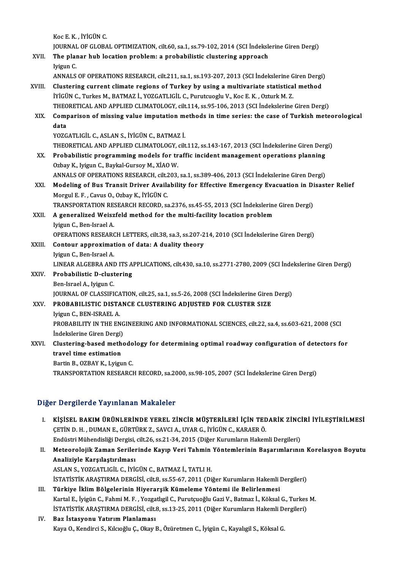KocE.K. , İYİGÜNC. Koc E. K. , İYİGÜN C.<br>JOURNAL OF GLOBAL OPTIMIZATION, cilt.60, sa.1, ss.79-102, 2014 (SCI İndekslerine Giren Dergi)<br>The Planar bub lesstien prablem: a prababilistis slustaring appraash Koc E. K., İYİGÜN C.<br>JOURNAL OF GLOBAL OPTIMIZATION, cilt.60, sa.1, ss.79-102, 2014 (SCI İndeksle<br>XVII. The planar hub location problem: a probabilistic clustering approach<br>Inizua C JOURNAI<br>The plan<br>Iyigun C.<br>ANNAI S The planar hub location problem: a probabilistic clustering approach<br>Iyigun C.<br>ANNALS OF OPERATIONS RESEARCH, cilt.211, sa.1, ss.193-207, 2013 (SCI İndekslerine Giren Dergi) Iyigun C.<br>ANNALS OF OPERATIONS RESEARCH, cilt.211, sa.1, ss.193-207, 2013 (SCI Indekslerine Giren Dergi<br>XVIII. Clustering current climate regions of Turkey by using a multivariate statistical method<br>IVICIN C. Turkes M. PAT İYİGÜN C., Turkes M., BATMAZ İ., YOZGATLIGİL C., Purutcuoglu V., Koc E. K. , Ozturk M. Z.<br>THEORETICAL AND APPLIED CLIMATOLOGY, cilt.114, ss.95-106, 2013 (SCI İndekslerine Giren Dergi) Clustering current climate regions of Turkey by using a multivariate statistical method<br>IYIGÜN C., Turkes M., BATMAZ İ., YOZGATLIGİL C., Purutcuoglu V., Koc E. K. , Ozturk M. Z.<br>THEORETICAL AND APPLIED CLIMATOLOGY, cilt.11 IYIGÜN C., Turkes M., BATMAZ İ., YOZGATLIGİL C., Purutcuoglu V., Koc E. K. , Ozturk M. Z.<br>THEORETICAL AND APPLIED CLIMATOLOGY, cilt.114, ss.95-106, 2013 (SCI İndekslerine Giren Dergi)<br>XIX. Comparison of missing value i THEO<br>Com<sub>l</sub><br>data<br><sup>VOZC</sup> Comparison of missing value imputation mediata<br>YOZGATLIGİL C., ASLAN S., İYİGÜN C., BATMAZ İ.<br>THEOPETICAL AND APRLIED CLIMATOLOCY silt **data**<br>YOZGATLIGİL C., ASLAN S., İYİGÜN C., BATMAZ İ.<br>THEORETICAL AND APPLIED CLIMATOLOGY, cilt.112, ss.143-167, 2013 (SCI İndekslerine Giren Dergi) XX. Probabilistic programming models for traffic incident management operations planning Ozbay K., Iyigun C., Baykal-Gursoy M., XİAO W. Probabilistic programming models for traffic incident management operations planning<br>Ozbay K., Iyigun C., Baykal-Gursoy M., XİAO W.<br>ANNALS OF OPERATIONS RESEARCH, cilt.203, sa.1, ss.389-406, 2013 (SCI İndekslerine Giren De XXI. Modeling of Bus Transit Driver Availability for Effective Emergency Evacuation in Disaster Relief<br>Morgul E. F., Cavus O., Ozbay K., İYİGÜN C. ANNALS OF OPERATIONS RESEARCH, cilt.2<br>Modeling of Bus Transit Driver Availa<br>Morgul E. F. , Cavus O., Ozbay K., İYİGÜN C.<br>TRANSPORTATION RESEARCH RECORD. 23 Modeling of Bus Transit Driver Availability for Effective Emergency Evacuation in Di<br>Morgul E. F., Cavus O., Ozbay K., İYİGÜN C.<br>TRANSPORTATION RESEARCH RECORD, sa.2376, ss.45-55, 2013 (SCI İndekslerine Giren Dergi)<br>A sana XXII. A generalized Weiszfeld method for the multi-facility location problem<br>Iyigun C., Ben-Israel A. TRANSPORTATION RE<mark>:</mark><br>A generalized Weisz<br>Iyigun C., Ben-Israel A.<br>OPERATIONS RESEARC A generalized Weiszfeld method for the multi-facility location problem<br>Iyigun C., Ben-Israel A.<br>OPERATIONS RESEARCH LETTERS, cilt.38, sa.3, ss.207-214, 2010 (SCI İndekslerine Giren Dergi)<br>Contour annroximation of data: A d XXIII. Contour approximation of data: A duality theory<br>Iyigun C., Ben-Israel A. OPERATIONS RESEARO<br>Contour approximat<br>Iyigun C., Ben-Israel A.<br>LINEAP ALCEPRA ANI Contour approximation of data: A duality theory<br>Iyigun C., Ben-Israel A.<br>LINEAR ALGEBRA AND ITS APPLICATIONS, cilt.430, sa.10, ss.2771-2780, 2009 (SCI İndekslerine Giren Dergi)<br>Probabilistis D. slustering XXIV. Probabilistic D-clustering<br>Ben-Israel A., Iyigun C. LINEAR ALGEBRA ANI<br><mark>Probabilistic D-clust</mark><br>Ben-Israel A., Iyigun C.<br>JOUPNAL OF CLASSIEL Probabilistic D-clustering<br>Ben-Israel A., Iyigun C.<br>JOURNAL OF CLASSIFICATION, cilt.25, sa.1, ss.5-26, 2008 (SCI İndekslerine Giren Dergi)<br>PROPARILISTIC DISTANCE CLUSTERING ADUISTED FOR CLUSTER SIZE Ben-Israel A., Iyigun C.<br>JOURNAL OF CLASSIFICATION, cilt.25, sa.1, ss.5-26, 2008 (SCI İndekslerine Giren<br>XXV. PROBABILISTIC DISTANCE CLUSTERING ADJUSTED FOR CLUSTER SIZE PROBABILISTIC DISTANCE CLUSTERING ADJUSTED FOR CLUSTER SIZE<br>Iyigun C., BEN-ISRAEL A. PROBABILISTIC DISTANCE CLUSTERING ADJUSTED FOR CLUSTER SIZE<br>Iyigun C., BEN-ISRAEL A.<br>PROBABILITY IN THE ENGINEERING AND INFORMATIONAL SCIENCES, cilt.22, sa.4, ss.603-621, 2008 (SCI<br>Indekslerine Ciren Dergi). Iyigun C., BEN-ISRAEL A.<br>PROBABILITY IN THE ENG<br>İndekslerine Giren Dergi) PROBABILITY IN THE ENGINEERING AND INFORMATIONAL SCIENCES, cilt.22, sa.4, ss.603-621, 2008 (SCI<br>Indekslerine Giren Dergi)<br>XXVI. Clustering-based methodology for determining optimal roadway configuration of detectors for<br>tr Indekslerine Giren Dergi)<br>Clustering-based meth<br>travel time estimation<br>Pertin B. OZBAV V. Lyigu Clustering-based methodo<br>travel time estimation<br>Bartin B., OZBAY K., Lyigun C.<br>TRANSPORTATION RESEARCH travel time estimation<br>Bartin B., OZBAY K., Lyigun C.<br>TRANSPORTATION RESEARCH RECORD, sa.2000, ss.98-105, 2007 (SCI İndekslerine Giren Dergi)

#### Diğer Dergilerde Yayınlanan Makaleler

- Iğer Dergilerde Yayınlanan Makaleler<br>I. KİŞİSEL BAKIM ÜRÜNLERİNDE YEREL ZİNCİR MÜŞTERİLERİ İÇİN TEDARİK ZİNCİRİ İYİLEŞTİRİLMESİ<br>CETİND HUDIMANE CÜRTÜRK 7 SAVCLA JIYAR CUYÇÜN CUYARAFRÖ ÇETİND.H. ,DUMANE.,GÜRTÜRKZ.,SAVCIA.,UYARG., İYİGÜNC.,KARAERÖ. KİŞİSEL BAKIM ÜRÜNLERİNDE YEREL ZİNCİR MÜŞTERİLERİ İÇİN TEDARİK ZİNCİ<br>ÇETİN D. H. , DUMAN E., GÜRTÜRK Z., SAVCI A., UYAR G., İYİGÜN C., KARAER Ö.<br>Endüstri Mühendisliği Dergisi, cilt.26, ss.21-34, 2015 (Diğer Kurumların Hak Endüstri Mühendisliği Dergisi, cilt.26, ss.21-34, 2015 (Diğer Kurumların Hakemli Dergileri)
- II. Meteorolojik Zaman Serilerinde Kayıp Veri Tahmin Yöntemlerinin Başarımlarının Korelasyon Boyutu<br>Analiziyle Karşılaştırılması ASLANS.,YOZGATLIGİL C., İYİGÜNC.,BATMAZ İ.,TATLIH. Analiziyle Karşılaştırılması<br>ASLAN S., YOZGATLIGİL C., İYİGÜN C., BATMAZ İ., TATLI H.<br>İSTATİSTİK ARAŞTIRMA DERGİSİ, cilt.8, ss.55-67, 2011 (Diğer Kurumların Hakemli Dergileri)<br>Türkiye İldim Bölgelerinin Hiyonansılı Kümelem ASLAN S., YOZGATLIGİL C., İYİGÜN C., BATMAZ İ., TATLI H.<br>ISTATISTIK ARAŞTIRMA DERGİSİ, cilt.8, ss.55-67, 2011 (Diğer Kurumların Hakemli i<br>III. Türkiye İklim Bölgelerinin Hiyerarşik Kümeleme Yöntemi ile Belirlenmesi<br>Kar
- İSTATİSTİK ARAŞTIRMA DERGİSİ, cilt.8, ss.55-67, 2011 (Diğer Kurumların Hakemli Dergileri)<br><mark>Türkiye İklim Bölgelerinin Hiyerarşik Kümeleme Yöntemi ile Belirlenmesi</mark><br>Kartal E., İyigün C., Fahmi M. F. , Yozgatlıgil C., Purutç Türkiye İklim Bölgelerinin Hiyerarşik Kümeleme Yöntemi ile Belirlenmesi<br>Kartal E., İyigün C., Fahmi M. F. , Yozgatlıgil C., Purutçuoğlu Gazi V., Batmaz İ., Köksal G., Turkes<br>İSTATİSTİK ARAŞTIRMA DERGİSİ, cilt.8, ss.13-25, Kartal E., İyigün C., Fahmi M. F. , Yozga<br>İSTATİSTİK ARAŞTIRMA DERGİSİ, cilt.<br>IV. Baz İstasyonu Yatırım Planlaması<br>Kava O. Kandiyai S. Kılmağlu C. Olmu I

## İSTATİSTİK ARAŞTIRMA DERGİSİ, cilt.8, ss.13-25, 2011 (Diğer Kurumların Hakemli D<br><mark>Baz İstasyonu Yatırım Planlaması</mark><br>Kaya O., Kendirci S., Kılcıoğlu Ç., Okay B., Özüretmen C., İyigün C., Kayalıgil S., Köksal G.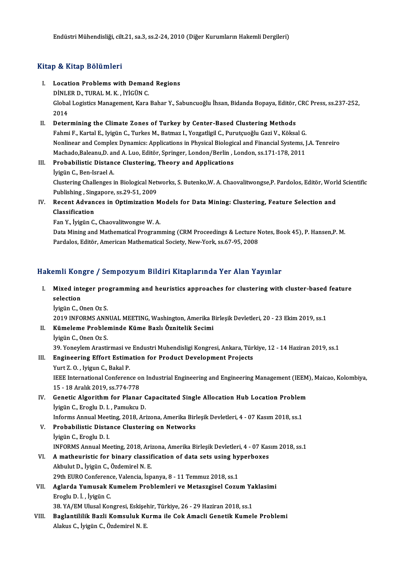### Kitap & Kitap Bölümleri

- Itap & Kitap Bölümleri<br>I. Location Problems with Demand Regions<br>DINLER D. TURAL M.K. WICUN.C. Dinler<br>**Location Problems with Deman**<br>DİNLER D., TURAL M. K., İYİGÜN C.<br>Clabal Legistics Managament Kara Location Problems with Demand Regions<br>DİNLER D., TURAL M. K. , İYİGÜN C.<br>Global Logistics Management, Kara Bahar Y., Sabuncuoğlu İhsan, Bidanda Bopaya, Editör, CRC Press, ss.237-252,<br>2014 DINLE<br>Global<br>2014<br>Deter Global Logistics Management, Kara Bahar Y., Sabuncuoğlu İhsan, Bidanda Bopaya, Editör,<br>2014<br>II. Determining the Climate Zones of Turkey by Center-Based Clustering Methods<br>Fabmi E. Kartal E. Juigün C. Turkes M. Patmar J. Ya
- 2014<br>Fahmi F., Kartal E., Iyigün C., Turkes of Turkey by Center-Based Clustering Methods<br>Fahmi F., Kartal E., Iyigün C., Turkes M., Batmaz I., Yozgatligil C., Purutçuoğlu Gazi V., Köksal G. Determining the Climate Zones of Turkey by Center-Based Clustering Methods<br>Fahmi F., Kartal E., Iyigün C., Turkes M., Batmaz I., Yozgatligil C., Purutçuoğlu Gazi V., Köksal G.<br>Nonlinear and Complex Dynamics: Applications i Fahmi F., Kartal E., Iyigün C., Turkes M., Batmaz I., Yozgatligil C., Purutçuoğlu Gazi V., Köksal G.<br>Nonlinear and Complex Dynamics: Applications in Physical Biological and Financial Systems, J<br>Machado,Baleanu,D. and A. Lu Nonlinear and Complex Dynamics: Applications in Physical Biologic<br>Machado,Baleanu,D. and A. Luo, Editör, Springer, London/Berlin, I<br>III. Probabilistic Distance Clustering, Theory and Applications<br>Inigural C. Bon Javael A.
- Machado,Baleanu,D. and A. Luo, Editör, Springer, London/Berlin , London, ss.171-178, 2011<br>Probabilistic Distance Clustering, Theory and Applications<br>İyigün C., Ben-Israel A. Probabilistic Distance Clustering, Theory and Applications<br>İyigün C., Ben-Israel A.<br>Clustering Challenges in Biological Networks, S. Butenko,W. A. Chaovalitwongse,P. Pardolos, Editör, World Scientific İyigün C., Ben-Israel A.<br>Clustering Challenges in Biological Net<br>Publishing , Singapore, ss.29-51, 2009<br>Resent Advances in Ontimiration N
- Clustering Challenges in Biological Networks, S. Butenko,W. A. Chaovalitwongse,P. Pardolos, Editör, Worl Publishing, Singapore, ss.29-51, 2009<br>IV. Recent Advances in Optimization Models for Data Mining: Clustering, Feature Publishing , Sing<br>Recent Advan<br>Classification<br>For Y. İvisün C Recent Advances in Optimization M<br>Classification<br>Fan Y., İyigün C., Chaovalitwongse W. A.<br>Data Mining and Mathematical Brogram
	-

Classification<br>Fan Y., İyigün C., Chaovalitwongse W. A.<br>Data Mining and Mathematical Programming (CRM Proceedings & Lecture Notes, Book 45), P. Hansen,P. M.<br>Pardales, Editër, American Mathematical Society, New York, se 67, Fan Y., İyigün C., Chaovalitwongse W. A.<br>Data Mining and Mathematical Programming (CRM Proceedings & Lecture N<br>Pardalos, Editör, American Mathematical Society, New-York, ss.67-95, 2008

# Pardalos, Editör, American Mathematical Society, New-York, ss.67-95, 2008<br>Hakemli Kongre / Sempozyum Bildiri Kitaplarında Yer Alan Yayınlar

- akemli Kongre / Sempozyum Bildiri Kitaplarında Yer Alan Yayınlar<br>I. Mixed integer programming and heuristics approaches for clustering with cluster-based feature sinis Kon<br>Mixed inte<br>selection<br>hygin C. O Mixed integer pro<br>selection<br>İyigün C., Onen Oz S.<br>2010 INFORMS ANN selection<br>İyigün C., Onen Oz S.<br>2019 INFORMS ANNUAL MEETING, Washington, Amerika Birleşik Devletleri, 20 - 23 Ekim 2019, ss.1<br>Kümelame Brahlaminde Küme Barlı Ösnitelik Sesimi
	-

- İyigün C., Onen Oz S.<br>2019 INFORMS ANNUAL MEETING, Washington, Amerika B<br>II. Kümeleme Probleminde Küme Bazlı Öznitelik Secimi<br>İyigün C., Onen Oz S.
- 2019 INFORMS ANN<br>**Kümeleme Proble**<br>İyigün C., Onen Oz S.<br><sup>20. Vonevlem Aresti</sup> 39. Yoneylem Arastirmasi ve Endustri Muhendisligi Kongresi, Ankara, Türkiye, 12 - 14 Haziran 2019, ss.1 İyigün C., Onen Oz S.<br>39. Yoneylem Arastirmasi ve Endustri Muhendisligi Kongresi, Ankara, Türl<br>III. Engineering Effort Estimation for Product Development Projects<br>Vunt 7. O. Juigun C. Bakal P.
- 

39. Yoneylem Arastirmasi ve<br>Engineering Effort Estima<br>Yurt Z. O. , Iyigun C., Bakal P.<br><sup>IEEE</sup> International Conferen Yurt Z. O. , Iyigun C., Bakal P.<br>IEEE International Conference on Industrial Engineering and Engineering Management (IEEM), Maicao, Kolombiya, 15 -18Aralık2019, ss.774-778 IEEE International Conference on Industrial Engineering and Engineering Management (IEEM<br>15 - 18 Aralık 2019, ss.774-778<br>IV. Genetic Algorithm for Planar Capacitated Single Allocation Hub Location Problem<br>Ivisin G. Frash:

- 15 18 Aralık 2019, ss.774-778<br>Genetic Algorithm for Planar (<br>İyigün C., Eroglu D. I. , Pamukcu D. Genetic Algorithm for Planar Capacitated Single Allocation Hub Location Problem<br>İyigün C., Eroglu D. I. , Pamukcu D.<br>Informs Annual Meeting, 2018, Arizona, Amerika Birleşik Devletleri, 4 - 07 Kasım 2018, ss.1<br>Probobilistis
	- Informs Annual Meeting, 2018, Arizona, Amerika Birleşik Devletleri, 4 07 Kasım 2018, ss.1
- İyigün C., Eroglu D. I. , Pamukcu D.<br>Informs Annual Meeting, 2018, Arizona, Amerika Birl<br>V. Probabilistic Distance Clustering on Networks<br>İyigün C., Eroglu D. I. Probabilistic Distance Clustering on Networks<br>İyigün C., Eroglu D. I.<br>INFORMS Annual Meeting, 2018, Arizona, Amerika Birleşik Devletleri, 4 - 07 Kasım 2018, ss.1<br>A methevristie for binery elessifisation of data sets veing İyigün C., Eroglu D. I.<br>INFORMS Annual Meeting, 2018, Arizona, Amerika Birleşik Devletleri, 4 - 07 Kas<br>VI. Amatheuristic for binary classification of data sets using hyperboxes

## INFORMS Annual Meeting, 2018, Ari:<br>A matheuristic for binary classif<br>Akbulut D., İyigün C., Özdemirel N. E.<br>20th EUPO Conference Valencia İsp A matheuristic for binary classification of data sets using hy<br>Akbulut D., İyigün C., Özdemirel N. E.<br>29th EURO Conference, Valencia, İspanya, 8 - 11 Temmuz 2018, ss.1<br>Azlanda Yumusak Kumalam Prahlamlari ve Mataarsisal Car Akbulut D., İyigün C., Özdemirel N. E.<br>29th EURO Conference, Valencia, İspanya, 8 - 11 Temmuz 2018, ss.1<br>VII. Aglarda Yumusak Kumelem Problemleri ve Metaszgisel Cozum Yaklasimi<br>Freshu D. İ. İyigün C.

- 29th EURO Conference<br>**Aglarda Yumusak K**<br>Eroglu D. İ. , İyigün C.<br>29. YA (EM Hlugal Kon Aglarda Yumusak Kumelem Problemleri ve Metaszgisel Cozum Ya<br>Eroglu D. İ. , İyigün C.<br>38. YA/EM Ulusal Kongresi, Eskişehir, Türkiye, 26 - 29 Haziran 2018, ss.1<br>Bazlantililik Bazli Komauluk Kunma ile Cak Amasli Canatik Kumal
	-
- Eroglu D. İ. , İyigün C.<br>38. YA/EM Ulusal Kongresi, Eskişehir, Türkiye, 26 29 Haziran 2018, ss.1<br>VIII. Baglantililik Bazli Komsuluk Kurma ile Cok Amacli Genetik Kumele Problemi 38. YA/EM Ulusal Kongresi, Eskişel<br><mark>Baglantililik Bazli Komsuluk Kı</mark><br>Alakus C., İyigün C., Özdemirel N. E.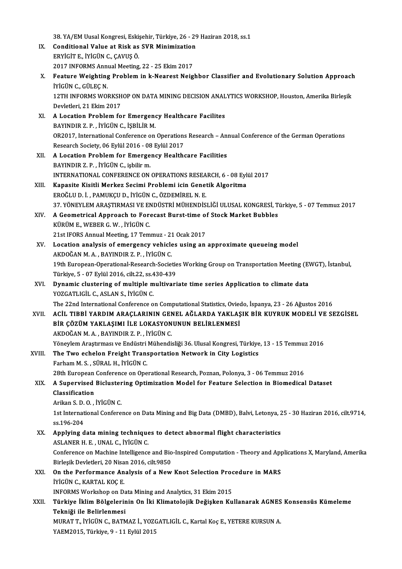38.YA/EM Uusal Kongresi, Eskişehir, Türkiye, 26 - 29 Haziran 2018, ss.1

- 38. YA/EM Uusal Kongresi, Eskişehir, Türkiye, 26 29<br>IX. Conditional Value at Risk as SVR Minimization<br>ERVICITE, İVİCÜN G. GAVUS Ö ERYİGİTE., İYİGÜNC.,ÇAVUŞÖ. Conditional Value at Risk as SVR Minimization<br>ERYİGİT E., İYİGÜN C., ÇAVUŞ Ö.<br>2017 INFORMS Annual Meeting, 22 - 25 Ekim 2017<br>Feature Weighting Brahlam in k Nearest Neig
- ERYİGİT E., İYİGÜN C., ÇAVUŞ Ö.<br>2017 INFORMS Annual Meeting, 22 25 Ekim 2017<br>X. Feature Weighting Problem in k-Nearest Neighbor Classifier and Evolutionary Solution Approach<br>İVİGÜN G. GÜLEC N 2017 INFORMS Annual Meeting, 22 - 25 Ekim 2017<br>Feature Weighting Problem in k-Nearest Neig<br>İYİGÜN C.. GÜLEC N. Feature Weighting Problem in k-Nearest Neighbor Classifier and Evolutionary Solution Approach<br>İYİGÜN C., GÜLEÇ N.<br>12TH INFORMS WORKSHOP ON DATA MINING DECISION ANALYTICS WORKSHOP, Houston, Amerika Birleşik<br>Devletleri, 21 E 12TH INFORMS WORKSHOP ON DATA MINING DECISION ANALYTICS WORKSHOP, Houston, Amerika Birleşik<br>Devletleri, 21 Ekim 2017 12TH INFORMS WORKSHOP ON DATA MINING DECISION ANAL<br>Devletleri, 21 Ekim 2017<br>XI. A Location Problem for Emergency Healthcare Facilites<br>PAYINDIP 7 P. WICUNG ISBN 19 M
- Devletleri, 21 Ekim 2017<br>A Location Problem for Emergen<br>BAYINDIR Z. P. , İYİGÜN C., İŞBİLİR M.<br>OP2017. International Conference on A Location Problem for Emergency Healthcare Facilites<br>BAYINDIR Z. P. , İYİGÜN C., İŞBİLİR M.<br>OR2017, International Conference on Operations Research – Annual Conference of the German Operations<br>Research Seciety, 06 Erlül 2 BAYINDIR Z. P. , İYİGÜN C., İŞBİLİR M.<br>OR2017, International Conference on Operations<br>Research Society, 06 Eylül 2016 - 08 Eylül 2017<br>A.Logation Problem for Emergency Hoalth OR2017, International Conference on Operations Research – An:<br>Research Society, 06 Eylül 2016 - 08 Eylül 2017<br>XII. A Location Problem for Emergency Healthcare Facilities<br>RAVINDIR 7 B UVICÜN C ishlir m
- Research Society, 06 Eylül 2016 08 Eylül 2017<br>A Location Problem for Emergency Healthcare Facilities<br>BAYINDIR Z. P. , İYİGÜN C., işbilirm. A Location Problem for Emergency Healthcare Facilities<br>BAYINDIR Z. P. , İYİGÜN C., işbilir m.<br>INTERNATIONAL CONFERENCE ON OPERATIONS RESEARCH, 6 - 08 Eylül 2017<br>Kanasita Kisitli Markar Sasimi Problami isin Canatik Algaritm
- XIII. Kapasite Kisitli Merkez Secimi Problemi icin Genetik Algoritma<br>EROĞLU D. İ., PAMUKÇU D., İYİGÜN C., ÖZDEMİREL N. E. INTERNATIONAL CONFERENCE ON OPERATIONS RESEA<br>Kapasite Kisitli Merkez Secimi Problemi icin Genet<br>EROĞLU D. İ. , PAMUKÇU D., İYİGÜN C., ÖZDEMİREL N. E.<br>27 YÖNEVLEM ARASTIRMASI VE ENDÜSTRİ MÜHENDİS 37.YÖNEYLEMARAŞTIRMASIVEENDÜSTRİMÜHENDİSLİĞİULUSALKONGRESİ,Türkiye,5 -07Temmuz2017 EROĞLU D. İ. , PAMUKÇU D., İYİGÜN C., ÖZDEMİREL N. E.<br>37. YÖNEYLEM ARAŞTIRMASI VE ENDÜSTRİ MÜHENDİSLİĞİ ULUSAL KONGRESİ, T.<br>XIV. A Geometrical Approach to Forecast Burst-time of Stock Market Bubbles
- KÜRÜM E., WEBER G.W., İYİGÜN C.<br>21st IFORS Annual Meeting, 17 Temmuz 21 Ocak 2017 A Geometrical Approach to Forecast Burst-time of<br>21st IFORS Annual Meeting, 17 Temmuz - 21 Ocak 2017<br>21st IFORS Annual Meeting, 17 Temmuz - 21 Ocak 2017
- XV. Location analysis of emergency vehicles using an approximate queueingmodel AKDOĞANM.A. ,BAYINDIRZ.P. , İYİGÜNC. Location analysis of emergency vehicles using an approximate queueing model<br>AKDOĞAN M. A. , BAYINDIR Z. P. , İYİGÜN C.<br>19th European-Operational-Research-Societies Working Group on Transportation Meeting (EWGT), İstanbul,<br> AKDOĞAN M. A. , BAYINDIR Z. P. , İYİGÜN C.<br>19th European-Operational-Research-Societie<br>Türkiye, 5 - 07 Eylül 2016, cilt.22, ss.430-439<br>Dunamis slustaring of multiple multiveri 19th European-Operational-Research-Societies Working Group on Transportation Meeting (E<br>Türkiye, 5 - 07 Eylül 2016, cilt.22, ss.430-439<br>XVI. Dynamic clustering of multiple multivariate time series Application to climate da
- Türkiye, 5 07 Eylül 2016, cilt.22, ss.430-439<br>Dynamic clustering of multiple multivariate time series Application to climate data<br>YOZGATLIGİL C., ASLAN S., İYİGÜN C. The 22nd InternationalConference onComputationalStatistics,Oviedo, İspanya,23 -26Ağustos2016
- YOZGATLIGİL C., ASLAN S., İYİGÜN C.<br>The 22nd International Conference on Computational Statistics, Oviedo, İspanya, 23 26 Ağustos 2016<br>XVII. ACİL TIBBİ YARDIM ARAÇLARININ GENEL AĞLARDA YAKLAŞIK BİR KUYRUK MODELİ VE S The 22nd International Conference on Computational Statistics, Oviet<br>ACİL TIBBİ YARDIM ARAÇLARININ GENEL AĞLARDA YAKLAŞ<br>BİR ÇÖZÜM YAKLAŞIMI İLE LOKASYONUNUN BELİRLENMESİ<br>AKDOĞANM A. BAYINDIR Z.B. İVİÇÜN C ACİL TIBBİ YARDIM ARAÇLARININ GEN<br>BİR ÇÖZÜM YAKLAŞIMI İLE LOKASYON<br>AKDOĞAN M. A. , BAYINDIR Z. P. , İYİGÜN C.<br><sup>Vänovlom Arastumacı ve Endüstri Mühandi</sub></sup> BİR ÇÖZÜM YAKLAŞIMI İLE LOKASYONUNUN BELİRLENMESİ<br>AKDOĞAN M. A. , BAYINDIR Z. P. , İYİGÜN C.<br>Yöneylem Araştırması ve Endüstri Mühendisliği 36. Ulusal Kongresi, Türkiye, 13 - 15 Temmuz 2016<br>The Ture eshelen Eneisht Transpor

## AKDOĞAN M. A. , BAYINDIR Z. P. , İYİGÜN C.<br>Yöneylem Araştırması ve Endüstri Mühendisliği 36. Ulusal Kongresi, Türkiye<br>XVIII. The Two echelon Freight Transportation Network in City Logistics<br>Farham M. S. , SÜRAL H., İYİ Yöneylem Araştırması ve Endüstri<br><mark>The Two echelon Freight Tran</mark>s<br>Farham M. S. , SÜRAL H., İYİGÜN C.<br>28th Eunonean Conforence on One The Two echelon Freight Transportation Network in City Logistics<br>Farham M. S. , SÜRAL H., İYİGÜN C.<br>28th European Conference on Operational Research, Poznan, Polonya, 3 - 06 Temmuz 2016<br>A Sunarvised Bislustering Optimizati

### XIX. A Supervised Biclustering Optimization Model for Feature Selection in Biomedical Dataset<br>Classification 28th European<br>A Supervised<br>Classification<br>Arikan S.D.O. A Supervised Bicluster<br>Classification<br>Arikan S. D. O. , İYİGÜN C.<br>1st International Cenfore

1st International Conference on Data Mining and Big Data (DMBD), Balvi, Letonya, 25 - 30 Haziran 2016, cilt.9714, ss.196-204 Arikan S.D.<br>1st Internat<br>ss.196-204<br>Annlying d 1st International Conference on Data Mining and Big Data (DMBD), Balvi, Letonya, 2<br>ss.196-204<br>XX. Applying data mining techniques to detect abnormal flight characteristics<br>ASI ANED H E JINAL C IVICIN C

## ss.196-204<br><mark>Applying data mining technique</mark><br>ASLANER H. E. , UNAL C., İYİGÜN C.<br>Conference on Mashine Intelligence Applying data mining techniques to detect abnormal flight characteristics<br>ASLANER H. E. , UNAL C., İYİGÜN C.<br>Conference on Machine Intelligence and Bio-Inspired Computation - Theory and Applications X, Maryland, Amerika<br>Bi

ASLANER H. E. , UNAL C., İYİGÜN C.<br>Conference on Machine Intelligence and Bio<br>Birleşik Devletleri, 20 Nisan 2016, cilt.9850<br>On the Barformanae Analysis of a Nav Conference on Machine Intelligence and Bio-Inspired Computation - Theory and App<br>Birleşik Devletleri, 20 Nisan 2016, cilt.<br>9850<br>XXI. On the Performance Analysis of a New Knot Selection Procedure in MARS<br>tylection C KARTAL

## Birleşik Devletleri, 20 Nisan 2016, cilt.9850<br>On the Performance Analysis of a New Knot Selection Pro<br>İYİGÜN C., KARTAL KOÇ E.<br>INFORMS Workshop on Data Mining and Analytics, 31 Ekim 2015 On the Performance Analysis of a New Knot Selection Procedure in MARS

## İYİGÜN C., KARTAL KOÇ E.<br>INFORMS Workshop on Data Mining and Analytics, 31 Ekim 2015<br>XXII. Telniği ile Belirlenmesi INFORMS Workshop on Da<br><mark>Türkiye İklim Bölgelerin</mark><br>Tekniği ile Belirlenmesi<br>MUBAT T. İVİÇÜN G. BATM Türkiye İklim Bölgelerinin On İki Klimatolojik Değişken Kullanarak AGNES<br>Tekniği ile Belirlenmesi<br>MURAT T., İYİGÜN C., BATMAZ İ., YOZGATLIGİL C., Kartal Koç E., YETERE KURSUN A.<br>YAEM2015, Türkiye 0, 11 Erlül 2015

Tekniği ile Belirlenmesi<br>MURAT T., İYİGÜN C., BATMAZ İ., YOZGATLIGİL C., Kartal Koç E., YETERE KURSUN A.<br>YAEM2015, Türkiye, 9 - 11 Eylül 2015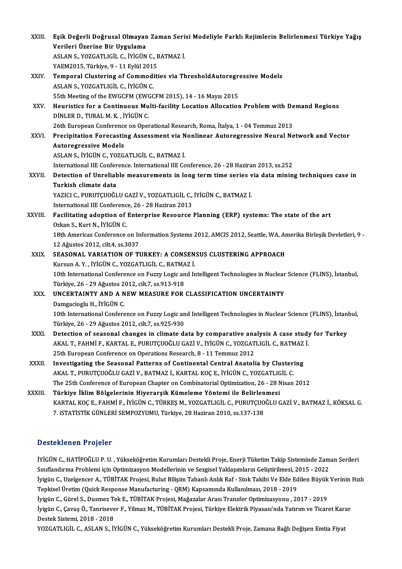| XXIII.       | Eşik Değerli Doğrusal Olmayan Zaman Serisi Modeliyle Farklı Rejimlerin Belirlenmesi Türkiye Yağış                 |
|--------------|-------------------------------------------------------------------------------------------------------------------|
|              | Verileri Üzerine Bir Uygulama                                                                                     |
|              | ASLAN S., YOZGATLIGİL C., İYİGÜN C., BATMAZ İ.                                                                    |
|              | YAEM2015, Türkiye, 9 - 11 Eylül 2015                                                                              |
| XXIV.        | Temporal Clustering of Commodities via ThresholdAutoregressive Models                                             |
|              | ASLAN S., YOZGATLIGİL C., İYİGÜN C.                                                                               |
|              | 55th Meeting of the EWGCFM (EWGCFM 2015), 14 - 16 Mayıs 2015                                                      |
| XXV.         | Heuristics for a Continuous Multi-facility Location Allocation Problem with Demand Regions                        |
|              | DİNLER D., TURAL M. K., İYİGÜN C.                                                                                 |
|              | 26th European Conference on Operational Research, Roma, İtalya, 1 - 04 Temmuz 2013                                |
| XXVI         | Precipitation Forecasting Assessment via Nonlinear Autoregressive Neural Network and Vector                       |
|              | <b>Autoregressive Models</b>                                                                                      |
|              | ASLAN S., İYİGÜN C., YOZGATLIGİL C., BATMAZ İ.                                                                    |
|              | International IIE Conference. International IIE Conference, 26 - 28 Haziran 2013, ss.252                          |
| <b>XXVII</b> | Detection of Unreliable measurements in long term time series via data mining techniques case in                  |
|              | Turkish climate data                                                                                              |
|              | YAZICI C., PURUTÇUOĞLU GAZİ V., YOZGATLIGİL C., İYİGÜN C., BATMAZ İ.                                              |
|              | International IIE Conference, 26 - 28 Haziran 2013                                                                |
| XXVIII.      | Facilitating adoption of Enterprise Resource Planning (ERP) systems: The state of the art                         |
|              | Ozkan S., Kurt N., İYİGÜN C.                                                                                      |
|              | 18th Americas Conference on Information Systems 2012, AMCIS 2012, Seattle, WA, Amerika Birleşik Devletleri, 9 -   |
|              | 12 Ağustos 2012, cilt4, ss.3037                                                                                   |
| XXIX.        | SEASONAL VARIATION OF TURKEY: A CONSENSUS CLUSTERING APPROACH                                                     |
|              | Kursun A.Y., İYİGÜN C., YOZGATLIGİL C., BATMAZ İ.                                                                 |
|              | 10th International Conference on Fuzzy Logic and Intelligent Technologies in Nuclear Science (FLINS), İstanbul,   |
| XXX.         | Türkiye, 26 - 29 Ağustos 2012, cilt 7, ss 913-918<br>UNCERTAINTY AND A NEW MEASURE FOR CLASSIFICATION UNCERTAINTY |
|              | Damgacioglu H., İYİGÜN C.                                                                                         |
|              | 10th International Conference on Fuzzy Logic and Intelligent Technologies in Nuclear Science (FLINS), İstanbul,   |
|              | Türkiye, 26 - 29 Ağustos 2012, cilt 7, ss 925-930                                                                 |
| XXXI.        | Detection of seasonal changes in climate data by comparative analysis A case study for Turkey                     |
|              | AKAL T., FAHMİ F., KARTAL E., PURUTÇUOĞLU GAZİ V., İYİGÜN C., YOZGATLIGİL C., BATMAZ İ.                           |
|              | 25th European Conference on Operations Research, 8 - 11 Temmuz 2012                                               |
| XXXII.       | Investigating the Seasonal Patterns of Continental Central Anatolia by Clustering                                 |
|              | AKAL T., PURUTÇUOĞLU GAZİ V., BATMAZ İ., KARTAL KOÇ E., İYİGÜN C., YOZGATLIGİL C.                                 |
|              | The 25th Conference of European Chapter on Combinatorial Optimization, 26 - 28 Nisan 2012                         |
| XXXIII.      | Türkiye İklim Bölgelerinin Hiyerarşik Kümeleme Yöntemi ile Belirlenmesi                                           |
|              | KARTAL KOÇ E., FAHMİ F., İYİGÜN C., TÜRKEŞ M., YOZGATLIGİL C., PURUTÇUOĞLU GAZİ V., BATMAZ İ., KÖKSAL G.          |
|              | 7. ISTATİSTİK GÜNLERİ SEMPOZYUMU, Türkiye, 28 Haziran 2010, ss.137-138                                            |
|              |                                                                                                                   |

### Desteklenen Projeler

Desteklenen Projeler<br>İYİGÜN C., HATİPOĞLU P. U. , Yükseköğretim Kurumları Destekli Proje, Enerji Tüketim Takip Sisteminde Zaman Serileri<br>Sınıflandırma Prablemi isin Ontimirasıyan Madellerinin ve Sargisel Yaklasımların Celi Səsəssinənən Yəyasar<br>İYİGÜN C., HATİPOĞLU P. U. , Yükseköğretim Kurumları Destekli Proje, Enerji Tüketim Takip Sisteminde Zam<br>İyigün C. Uzelsenesn A. TüpitLAK Projesi, Pulut Bilisim Tabanlı Anlık Bef. Stek Takibi Ve Elde E İYİGÜN C., HATİPOĞLU P. U. , Yükseköğretim Kurumları Destekli Proje, Enerji Tüketim Takip Sisteminde Zaman Serileri<br>Sınıflandırma Problemi için Optimizasyon Modellerinin ve Sezgisel Yaklaşımların Geliştirilmesi, 2015 - 202 Sınıflandırma Problemi için Optimizasyon Modellerinin ve Sezgisel Yaklaşımların Geliştirilmesi, 2015 - 2022<br>İyigün C., Uzelgencer A., TÜBİTAK Projesi, Bulut Bilişim Tabanlı Anlık Raf - Stok Takibi Ve Elde Edilen Büyük Veri İyigün C., Gürel S., Dusmez Tek E., TÜBİTAK Projesi, Mağazalar Arası Transfer Optimizasyonu , 2017 - 2019 Tepkisel Üretim (Quick Response Manufacturing - QRM) Kapsamında Kullanılması, 2018 - 2019<br>İyigün C., Gürel S., Dusmez Tek E., TÜBİTAK Projesi, Mağazalar Arası Transfer Optimizasyonu , 2017 - 2019<br>İyigün C., Çavuş Ö., Tanri İyigün C., Gürel S., Dusmez Te<br>İyigün C., Çavuş Ö., Tanriseve<br>Destek Sistemi, 2018 - 2018<br>YOZCATUCÜ C. ASLAN S. İN Destek Sistemi, 2018 - 2018<br>YOZGATLIGİL C., ASLAN S., İYİGÜN C., Yükseköğretim Kurumları Destekli Proje, Zamana Bağlı Değişen Emtia Fiyat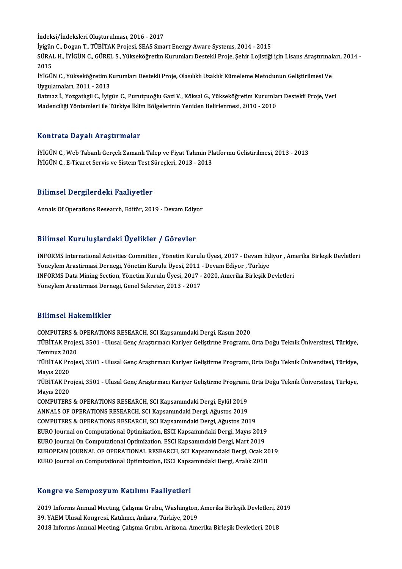İndeksi/İndeksleri Oluşturulması, 2016 - 2017 İndeksi/İndeksleri Oluşturulması, 2016 - 2017<br>İyigün C., Dogan T., TÜBİTAK Projesi, SEAS Smart Energy Aware Systems, 2014 - 2015<br>SÜRAL H., İVİÇÜN G. GÜREL S. Vülveltöğretim Kunumları Destaldi Proje, Sebir Lejistiği İndeksi/İndeksleri Oluşturulması, 2016 - 2017<br>İyigün C., Dogan T., TÜBİTAK Projesi, SEAS Smart Energy Aware Systems, 2014 - 2015<br>SÜRAL H., İYİGÜN C., GÜREL S., Yükseköğretim Kurumları Destekli Proje, Şehir Lojistiği için L İyigün<br>SÜRAI<br>2015<br>İvicü SÜRAL H., İYİGÜN C., GÜREL S., Yükseköğretim Kurumları Destekli Proje, Şehir Lojistiği için Lisans Araştırmalı<br>2015<br>İYİGÜN C., Yükseköğretim Kurumları Destekli Proje, Olasılıklı Uzaklık Kümeleme Metodunun Geliştirilmesi Ve 2015<br>İYİGÜN C., Yükseköğretim Kurumları Destekli Proje, Olasılıklı Uzaklık Kümeleme Metodunun Geliştirilmesi Ve<br>Uygulamaları, 2011 - 2013 İYİGÜN C., Yükseköğretim Kurumları Destekli Proje, Olasılıklı Uzaklık Kümeleme Metodunun Geliştirilmesi Ve<br>Uygulamaları, 2011 - 2013<br>Batmaz İ., Yozgatlıgil C., İyigün C., Purutçuoğlu Gazi V., Köksal G., Yükseköğretim Kurum Uygulamaları, 2011 - 2013<br>Batmaz İ., Yozgatlıgil C., İyigün C., Purutçuoğlu Gazi V., Köksal G., Yükseköğretim Kurumla<br>Madenciliği Yöntemleri ile Türkiye İklim Bölgelerinin Yeniden Belirlenmesi, 2010 - 2010

# Madenciliği Yöntemleri ile Türkiye İklim Bölgelerinin Yeniden Belirlenmesi, 2010 - 2010<br>Kontrata Dayalı Araştırmalar

Kontrata Dayalı Araştırmalar<br>İYİGÜN C., Web Tabanlı Gerçek Zamanlı Talep ve Fiyat Tahmin Platformu Gelistirilmesi, 2013 - 2013<br>İYİÇÜN C. E Ticaret Servis ve Sistem Test Süresleri, 2012 - 2012 İYİGÜN C., Web Tabanlı Gerçek Zamanlı Talep ve Fiyat Tahmin Pl:<br>İYİGÜN C., Web Tabanlı Gerçek Zamanlı Talep ve Fiyat Tahmin Pl:<br>İYİGÜN C., E-Ticaret Servis ve Sistem Test Süreçleri, 2013 - 2013 İYİGÜN C., E-Ticaret Servis ve Sistem Test Süreçleri, 2013 - 2013<br>Bilimsel Dergilerdeki Faaliyetler

Annals Of Operations Research, Editör, 2019 - Devam Ediyor

#### Bilimsel KuruluşlardakiÜyelikler / Görevler

Bilimsel Kuruluşlardaki Üyelikler / Görevler<br>INFORMS International Activities Committee , Yönetim Kurulu Üyesi, 2017 - Devam Ediyor , Amerika Birleşik Devletleri<br>Yanaylam Arastirmasi Dernasi Vönetim Kurulu Üyesi 2011 - Dev Yoneylem Arastirması Yoneylem<br>INFORMS International Activities Committee , Yönetim Kurulu Üyesi, 2017 - Devam Edi<br>Yoneylem Arastirmasi Dernegi, Yönetim Kurulu Üyesi, 2011 - Devam Ediyor , Türkiye<br>INFORMS Dete Mining Sectio INFORMS International Activities Committee , Yönetim Kurulu Üyesi, 2017 - Devam Ediyor , Am<br>Yoneylem Arastirmasi Dernegi, Yönetim Kurulu Üyesi, 2011 - Devam Ediyor , Türkiye<br>INFORMS Data Mining Section, Yönetim Kurulu Üyes Yoneylem Arastirmasi Dernegi, Yönetim Kurulu Üyesi, 2011 - Devam Ediyor , Türkiye<br>INFORMS Data Mining Section, Yönetim Kurulu Üyesi, 2017 - 2020, Amerika Birleşik Devletleri<br>Yoneylem Arastirmasi Dernegi, Genel Sekreter, 20

#### Bilimsel Hakemlikler

Bilimsel Hakemlikler<br>COMPUTERS & OPERATIONS RESEARCH, SCI Kapsamındaki Dergi, Kasım 2020<br>TÜRİTAK Prejesi, 3501 - Ulusal Cana Anastuması Kariyar Celistiuma Pregnamı TÜBİTAK Projesi, 3501 - Ulusal Genç Araştırmacı Kariyer Geliştirme Programı, Orta Doğu Teknik Üniversitesi, Türkiye,<br>Temmuz 2020 COMPUTERS &<br>TÜBİTAK Proje<br>Temmuz 2020<br>TÜPİTAK Proje TÜBİTAK Projesi, 3501 - Ulusal Genç Araştırmacı Kariyer Geliştirme Programı, Orta Doğu Teknik Üniversitesi, Türkiye,<br>Temmuz 2020<br>TÜBİTAK Projesi, 3501 - Ulusal Genç Araştırmacı Kariyer Geliştirme Programı, Orta Doğu Teknik Temmuz 20<mark>2</mark><br>TÜBİTAK Pro<br>Mayıs 2020<br>TÜPİTAK Pro TÜBİTAK Projesi, 3501 - Ulusal Genç Araştırmacı Kariyer Geliştirme Programı, Orta Doğu Teknik Üniversitesi, Türkiye,<br>Mayıs 2020<br>TÜBİTAK Projesi, 3501 - Ulusal Genç Araştırmacı Kariyer Geliştirme Programı, Orta Doğu Teknik Mayıs 2020<br>TÜBİTAK Pre<br>Mayıs 2020<br>COMBUTERS TÜBİTAK Projesi, 3501 - Ulusal Genç Araştırmacı Kariyer Geliştirme Programı,<br>Mayıs 2020<br>COMPUTERS & OPERATIONS RESEARCH, SCI Kapsamındaki Dergi, Eylül 2019<br>ANNALS OF OPERATIONS RESEARCH, SCI Kapsamındaki Dergi, Ağustos 201 Mayıs 2020<br>COMPUTERS & OPERATIONS RESEARCH, SCI Kapsamındaki Dergi, Eylül 2019<br>ANNALS OF OPERATIONS RESEARCH, SCI Kapsamındaki Dergi, Ağustos 2019 COMPUTERS & OPERATIONS RESEARCH, SCI Kapsamındaki Dergi, Ağustos 2019 ANNALS OF OPERATIONS RESEARCH, SCI Kapsamındaki Dergi, Ağustos 2019<br>COMPUTERS & OPERATIONS RESEARCH, SCI Kapsamındaki Dergi, Ağustos 2019<br>EURO Journal on Computational Optimization, ESCI Kapsamındaki Dergi, Mayıs 2019<br>EURO COMPUTERS & OPERATIONS RESEARCH, SCI Kapsamındaki Dergi, Ağustos 2019<br>EURO Journal on Computational Optimization, ESCI Kapsamındaki Dergi, Mayıs 2019<br>EURO Journal On Computational Optimization, ESCI Kapsamındaki Dergi, Mar EURO Journal on Computational Optimization, ESCI Kapsamındaki Dergi, Mayıs 2019<br>EURO Journal On Computational Optimization, ESCI Kapsamındaki Dergi, Mart 2019<br>EUROPEAN JOURNAL OF OPERATIONAL RESEARCH, SCI Kapsamındaki Derg EURO Journal On Computational Optimization, ESCI Kapsamındaki Dergi, Mart 2019<br>EUROPEAN JOURNAL OF OPERATIONAL RESEARCH, SCI Kapsamındaki Dergi, Ocak 2019<br>EURO Journal on Computational Optimization, ESCI Kapsamındaki Dergi

#### Kongre ve SempozyumKatılımı Faaliyetleri

2019 Informs Annual Meeting, Çalışma Grubu, Washington, Amerika Birleşik Devletleri, 2019 39.YAEMUlusalKongresi,Katılımcı,Ankara,Türkiye,2019 2018 Informs Annual Meeting, Çalışma Grubu, Arizona, Amerika Birleşik Devletleri, 2018